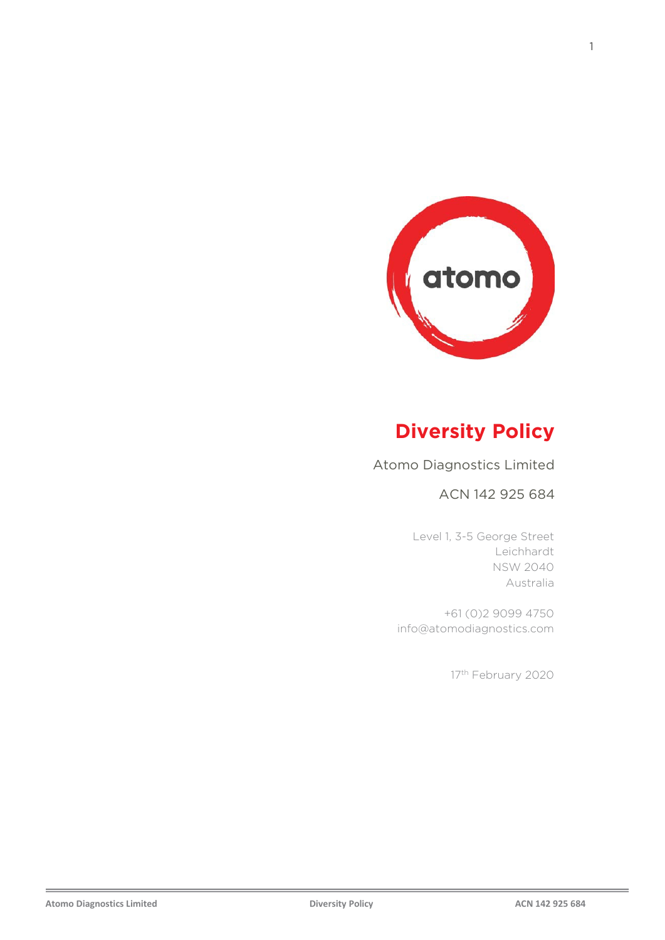

# **Diversity Policy**

#### Atomo Diagnostics Limited

#### ACN 142 925 684

Level 1, 3-5 George Street Leichhardt NSW 2040 Australia

+61 (0)2 9099 4750 info@atomodiagnostics.com

17<sup>th</sup> February 2020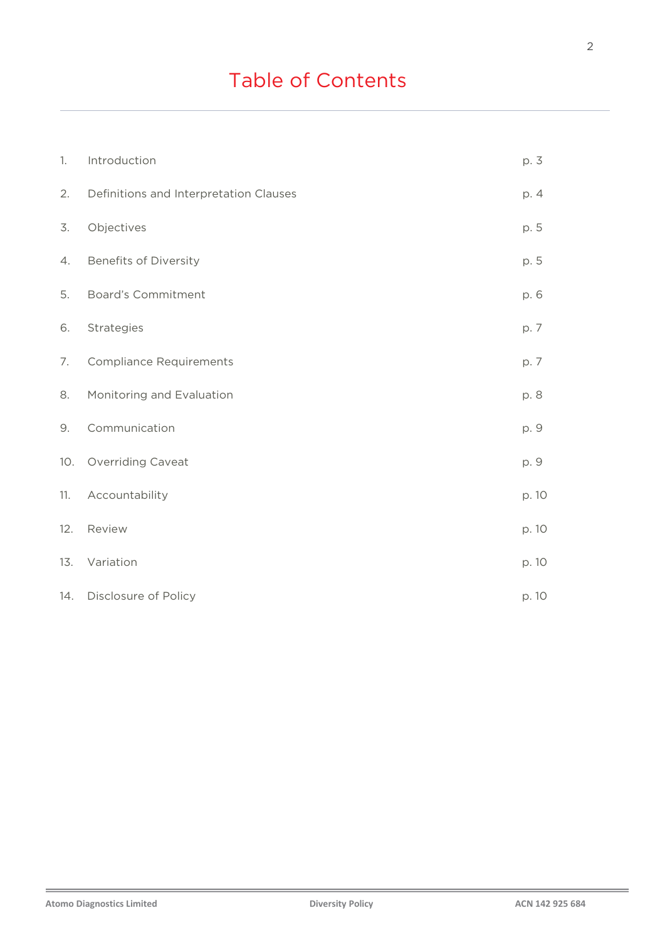# Table of Contents

| 1.  | Introduction                           | p. 3  |
|-----|----------------------------------------|-------|
| 2.  | Definitions and Interpretation Clauses | p. 4  |
| 3.  | Objectives                             | p. 5  |
| 4.  | <b>Benefits of Diversity</b>           | p. 5  |
| 5.  | <b>Board's Commitment</b>              | p. 6  |
| 6.  | Strategies                             | p. 7  |
| 7.  | <b>Compliance Requirements</b>         | p. 7  |
| 8.  | Monitoring and Evaluation              | p. 8  |
| 9.  | Communication                          | p. 9  |
| 10. | Overriding Caveat                      | p. 9  |
| 11. | Accountability                         | p. 10 |
| 12. | Review                                 | p. 10 |
| 13. | Variation                              | p. 10 |
| 14. | Disclosure of Policy                   | p. 10 |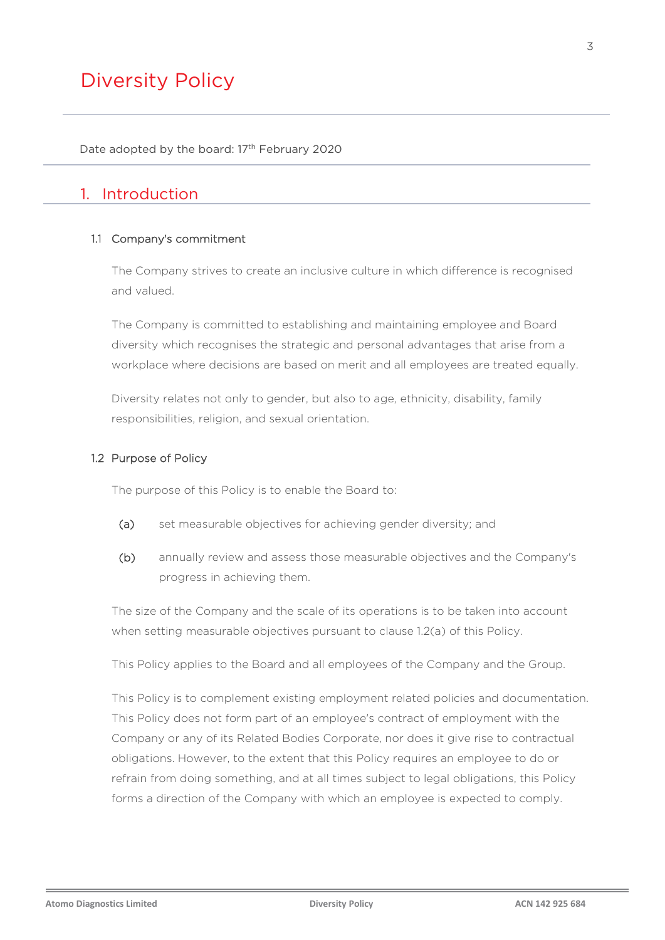# Diversity Policy

Date adopted by the board: 17<sup>th</sup> February 2020

# 1. Introduction

#### 1.1 Company's commitment

The Company strives to create an inclusive culture in which difference is recognised and valued.

The Company is committed to establishing and maintaining employee and Board diversity which recognises the strategic and personal advantages that arise from a workplace where decisions are based on merit and all employees are treated equally.

Diversity relates not only to gender, but also to age, ethnicity, disability, family responsibilities, religion, and sexual orientation.

#### 1.2 Purpose of Policy

The purpose of this Policy is to enable the Board to:

- <span id="page-2-0"></span>(a) set measurable objectives for achieving gender diversity; and
- (b) annually review and assess those measurable objectives and the Company's progress in achieving them.

The size of the Company and the scale of its operations is to be taken into account when setting measurable objectives pursuant to clause [1.2\(a\)](#page-2-0) of this Policy.

This Policy applies to the Board and all employees of the Company and the Group.

This Policy is to complement existing employment related policies and documentation. This Policy does not form part of an employee's contract of employment with the Company or any of its Related Bodies Corporate, nor does it give rise to contractual obligations. However, to the extent that this Policy requires an employee to do or refrain from doing something, and at all times subject to legal obligations, this Policy forms a direction of the Company with which an employee is expected to comply.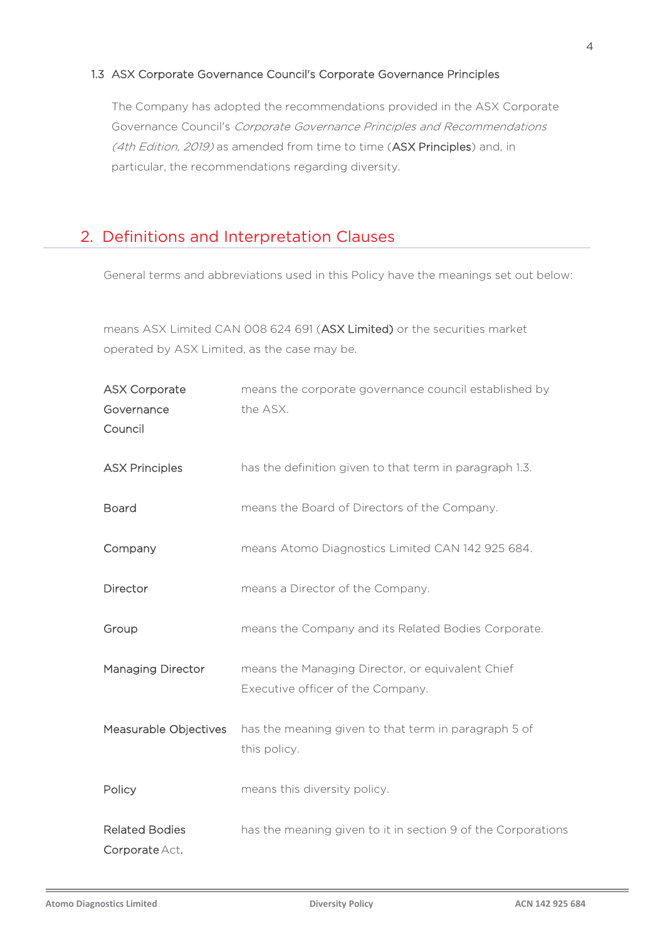#### 1.3 ASX Corporate Governance Council's Corporate Governance Principles

The Company has adopted the recommendations provided in the ASX Corporate Governance Council's Corporate Governance Principles and Recommendations (4th Edition, 2019) as amended from time to time (ASX Principles) and, in particular, the recommendations regarding diversity.

# 2. Definitions and Interpretation Clauses

General terms and abbreviations used in this Policy have the meanings set out below:

 means ASX Limited CAN 008 624 691 (ASX Limited) or the securities market operated by ASX Limited, as the case may be.

| <b>ASX Corporate</b>                    | means the corporate governance council established by                                 |  |
|-----------------------------------------|---------------------------------------------------------------------------------------|--|
| Governance<br>Council                   | the ASX.                                                                              |  |
| <b>ASX Principles</b>                   | has the definition given to that term in paragraph 1.3.                               |  |
| <b>Board</b>                            | means the Board of Directors of the Company.                                          |  |
| Company                                 | means Atomo Diagnostics Limited CAN 142 925 684.                                      |  |
| Director                                | means a Director of the Company.                                                      |  |
| Group                                   | means the Company and its Related Bodies Corporate.                                   |  |
| <b>Managing Director</b>                | means the Managing Director, or equivalent Chief<br>Executive officer of the Company. |  |
| Measurable Objectives                   | has the meaning given to that term in paragraph 5 of<br>this policy.                  |  |
| Policy                                  | means this diversity policy.                                                          |  |
| <b>Related Bodies</b><br>Corporate Act. | has the meaning given to it in section 9 of the Corporations                          |  |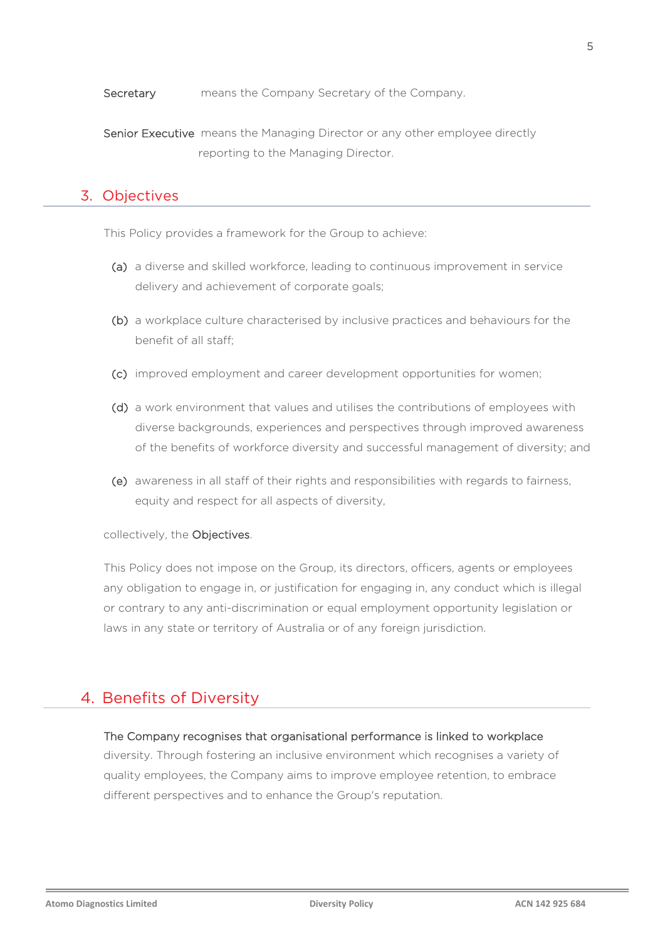Secretary means the Company Secretary of the Company.

Senior Executive means the Managing Director or any other employee directly reporting to the Managing Director.

#### 3. Objectives

This Policy provides a framework for the Group to achieve:

- (a) a diverse and skilled workforce, leading to continuous improvement in service delivery and achievement of corporate goals;
- (b) a workplace culture characterised by inclusive practices and behaviours for the benefit of all staff;
- (c) improved employment and career development opportunities for women;
- (d) a work environment that values and utilises the contributions of employees with diverse backgrounds, experiences and perspectives through improved awareness of the benefits of workforce diversity and successful management of diversity; and
- (e) awareness in all staff of their rights and responsibilities with regards to fairness, equity and respect for all aspects of diversity,

collectively, the Objectives.

This Policy does not impose on the Group, its directors, officers, agents or employees any obligation to engage in, or justification for engaging in, any conduct which is illegal or contrary to any anti-discrimination or equal employment opportunity legislation or laws in any state or territory of Australia or of any foreign jurisdiction.

## 4. Benefits of Diversity

## The Company recognises that organisational performance is linked to workplace diversity. Through fostering an inclusive environment which recognises a variety of quality employees, the Company aims to improve employee retention, to embrace different perspectives and to enhance the Group's reputation.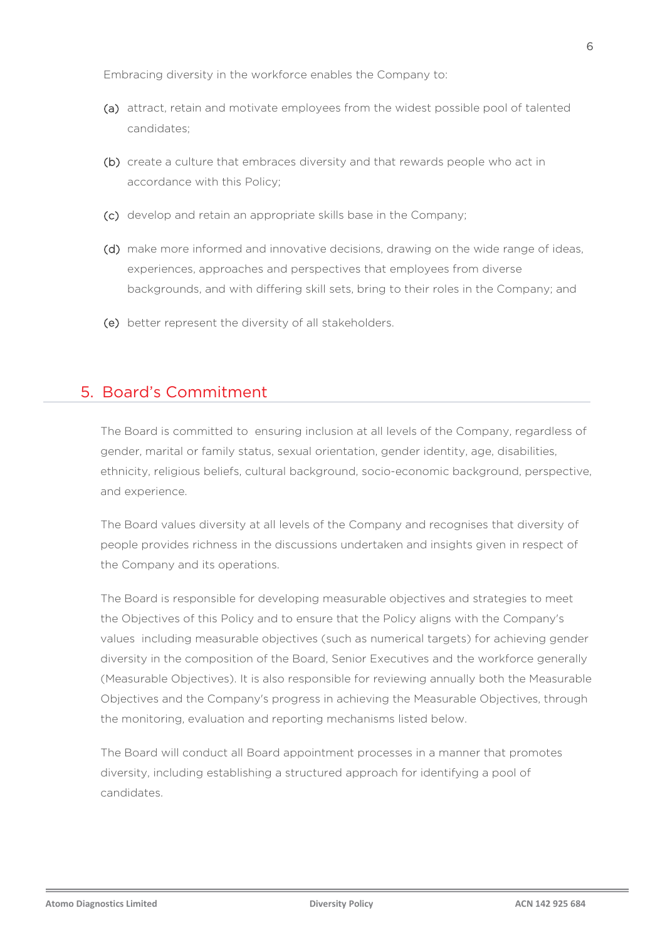Embracing diversity in the workforce enables the Company to:

- (a) attract, retain and motivate employees from the widest possible pool of talented candidates;
- (b) create a culture that embraces diversity and that rewards people who act in accordance with this Policy;
- (c) develop and retain an appropriate skills base in the Company;
- (d) make more informed and innovative decisions, drawing on the wide range of ideas, experiences, approaches and perspectives that employees from diverse backgrounds, and with differing skill sets, bring to their roles in the Company; and
- (e) better represent the diversity of all stakeholders.

## 5. Board's Commitment

The Board is committed to ensuring inclusion at all levels of the Company, regardless of gender, marital or family status, sexual orientation, gender identity, age, disabilities, ethnicity, religious beliefs, cultural background, socio-economic background, perspective, and experience.

The Board values diversity at all levels of the Company and recognises that diversity of people provides richness in the discussions undertaken and insights given in respect of the Company and its operations.

The Board is responsible for developing measurable objectives and strategies to meet the Objectives of this Policy and to ensure that the Policy aligns with the Company's values including measurable objectives (such as numerical targets) for achieving gender diversity in the composition of the Board, Senior Executives and the workforce generally (Measurable Objectives). It is also responsible for reviewing annually both the Measurable Objectives and the Company's progress in achieving the Measurable Objectives, through the monitoring, evaluation and reporting mechanisms listed below.

The Board will conduct all Board appointment processes in a manner that promotes diversity, including establishing a structured approach for identifying a pool of candidates.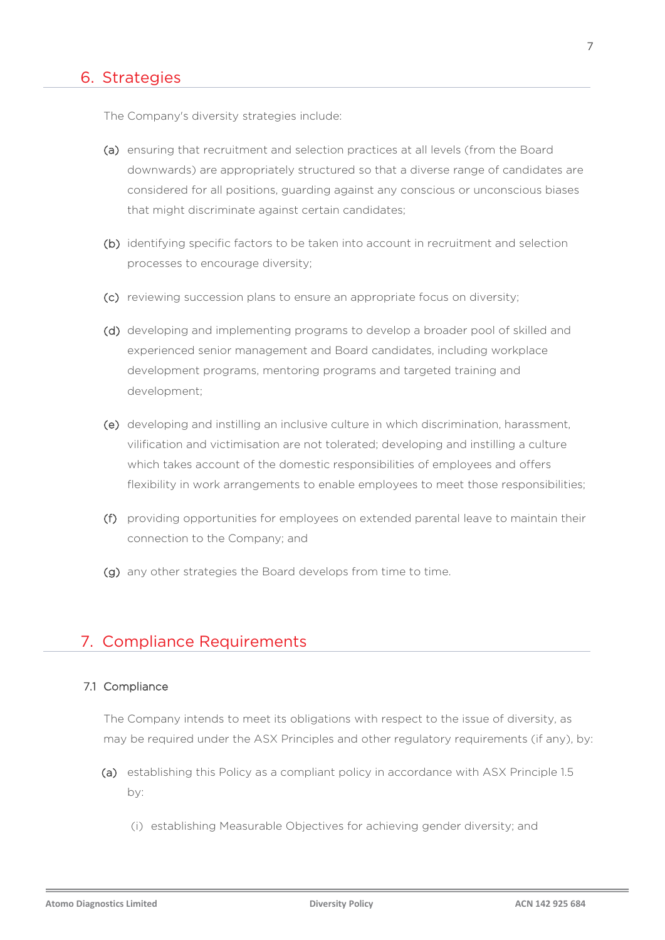#### 6. Strategies

The Company's diversity strategies include:

- (a) ensuring that recruitment and selection practices at all levels (from the Board downwards) are appropriately structured so that a diverse range of candidates are considered for all positions, guarding against any conscious or unconscious biases that might discriminate against certain candidates;
- (b) identifying specific factors to be taken into account in recruitment and selection processes to encourage diversity;
- (c) reviewing succession plans to ensure an appropriate focus on diversity;
- (d) developing and implementing programs to develop a broader pool of skilled and experienced senior management and Board candidates, including workplace development programs, mentoring programs and targeted training and development;
- (e) developing and instilling an inclusive culture in which discrimination, harassment, vilification and victimisation are not tolerated; developing and instilling a culture which takes account of the domestic responsibilities of employees and offers flexibility in work arrangements to enable employees to meet those responsibilities;
- (f) providing opportunities for employees on extended parental leave to maintain their connection to the Company; and
- (g) any other strategies the Board develops from time to time.

### 7. Compliance Requirements

#### <span id="page-6-0"></span>7.1 Compliance

The Company intends to meet its obligations with respect to the issue of diversity, as may be required under the ASX Principles and other regulatory requirements (if any), by:

- (a) establishing this Policy as a compliant policy in accordance with ASX Principle 1.5 by:
	- (i) establishing Measurable Objectives for achieving gender diversity; and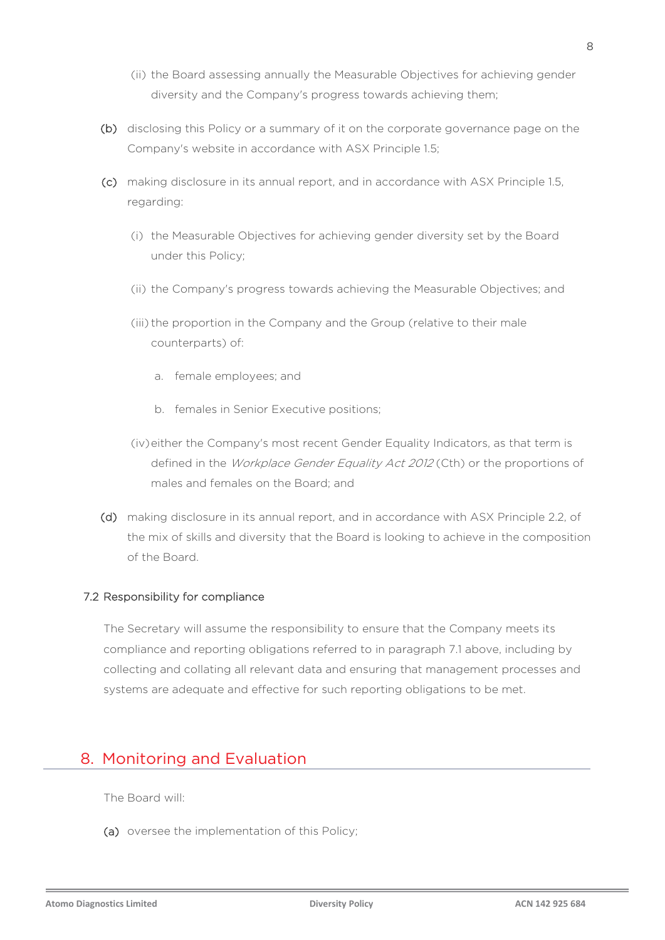- (ii) the Board assessing annually the Measurable Objectives for achieving gender diversity and the Company's progress towards achieving them;
- (b) disclosing this Policy or a summary of it on the corporate governance page on the Company's website in accordance with ASX Principle 1.5;
- (c) making disclosure in its annual report, and in accordance with ASX Principle 1.5, regarding:
	- (i) the Measurable Objectives for achieving gender diversity set by the Board under this Policy;
	- (ii) the Company's progress towards achieving the Measurable Objectives; and
	- (iii) the proportion in the Company and the Group (relative to their male counterparts) of:
		- a. female employees; and
		- b. females in Senior Executive positions;
	- (iv)either the Company's most recent Gender Equality Indicators, as that term is defined in the *Workplace Gender Equality Act 2012* (Cth) or the proportions of males and females on the Board; and
- (d) making disclosure in its annual report, and in accordance with ASX Principle 2.2, of the mix of skills and diversity that the Board is looking to achieve in the composition of the Board.

#### 7.2 Responsibility for compliance

The Secretary will assume the responsibility to ensure that the Company meets its compliance and reporting obligations referred to in paragraph [7.1](#page-6-0) above, including by collecting and collating all relevant data and ensuring that management processes and systems are adequate and effective for such reporting obligations to be met.

# 8. Monitoring and Evaluation

The Board will:

(a) oversee the implementation of this Policy;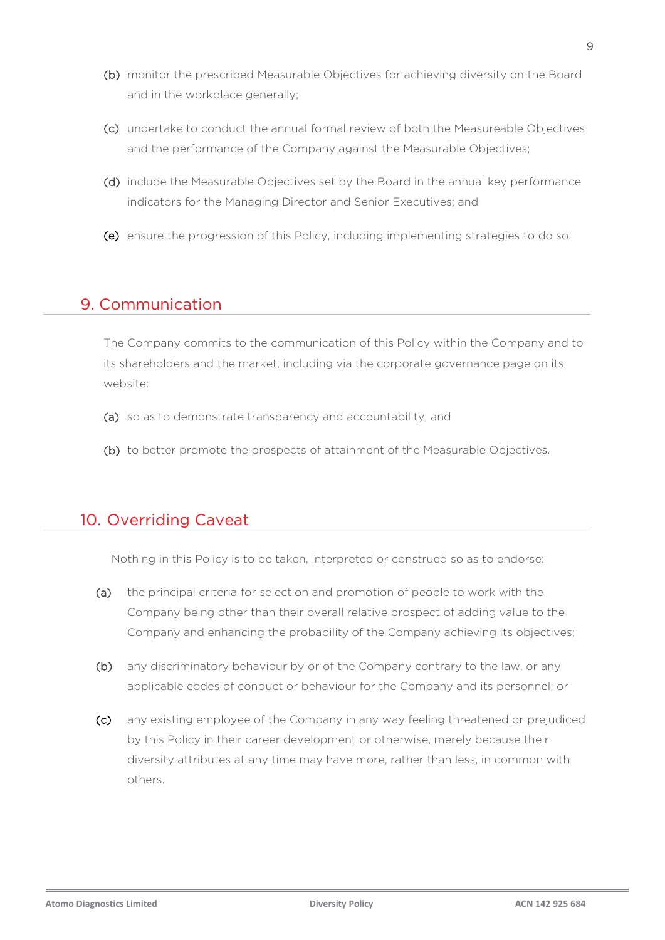- (b) monitor the prescribed Measurable Objectives for achieving diversity on the Board and in the workplace generally;
- (c) undertake to conduct the annual formal review of both the Measureable Objectives and the performance of the Company against the Measurable Objectives;
- (d) include the Measurable Objectives set by the Board in the annual key performance indicators for the Managing Director and Senior Executives; and
- (e) ensure the progression of this Policy, including implementing strategies to do so.

# 9. Communication

The Company commits to the communication of this Policy within the Company and to its shareholders and the market, including via the corporate governance page on its website:

- (a) so as to demonstrate transparency and accountability; and
- (b) to better promote the prospects of attainment of the Measurable Objectives.

# 10. Overriding Caveat

Nothing in this Policy is to be taken, interpreted or construed so as to endorse:

- (a) the principal criteria for selection and promotion of people to work with the Company being other than their overall relative prospect of adding value to the Company and enhancing the probability of the Company achieving its objectives;
- (b) any discriminatory behaviour by or of the Company contrary to the law, or any applicable codes of conduct or behaviour for the Company and its personnel; or
- (c) any existing employee of the Company in any way feeling threatened or prejudiced by this Policy in their career development or otherwise, merely because their diversity attributes at any time may have more, rather than less, in common with others.